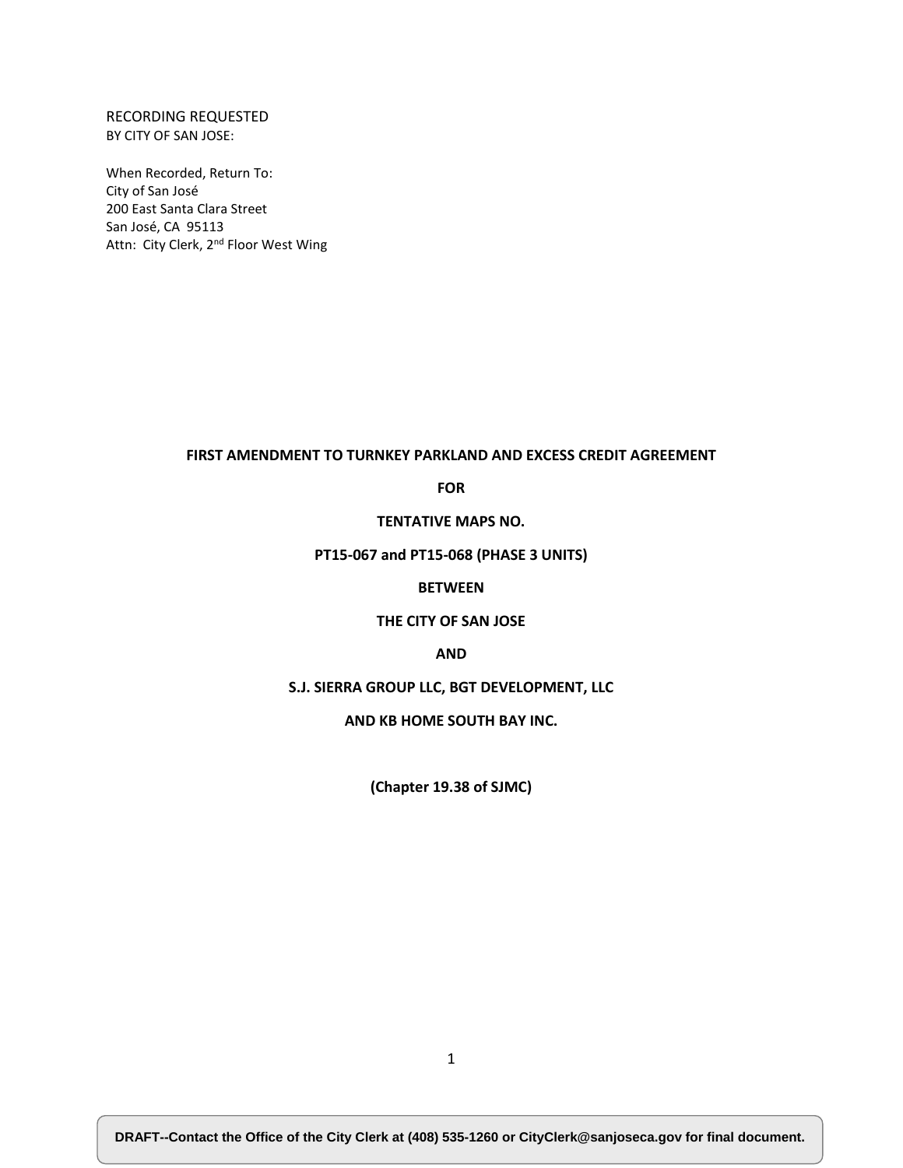## RECORDING REQUESTED BY CITY OF SAN JOSE:

When Recorded, Return To: City of San José 200 East Santa Clara Street San José, CA 95113 Attn: City Clerk, 2<sup>nd</sup> Floor West Wing

#### **FIRST AMENDMENT TO TURNKEY PARKLAND AND EXCESS CREDIT AGREEMENT**

**FOR**

**TENTATIVE MAPS NO.** 

**PT15-067 and PT15-068 (PHASE 3 UNITS)**

## **BETWEEN**

## **THE CITY OF SAN JOSE**

#### **AND**

## **S.J. SIERRA GROUP LLC, BGT DEVELOPMENT, LLC**

**AND KB HOME SOUTH BAY INC.**

**(Chapter 19.38 of SJMC)**

**DRAFT--Contact the Office of the City Clerk at (408) 535-1260 or CityClerk@sanjoseca.gov for final document.**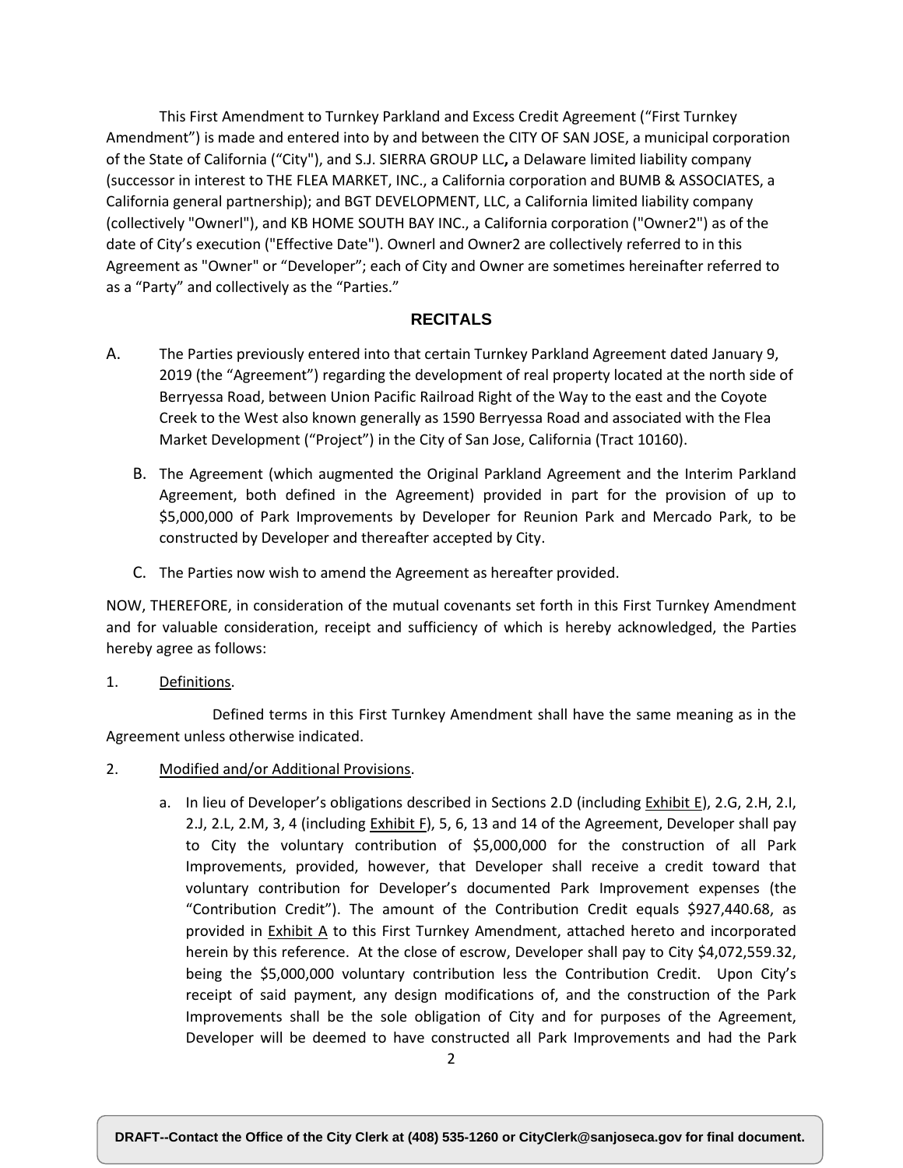This First Amendment to Turnkey Parkland and Excess Credit Agreement ("First Turnkey Amendment") is made and entered into by and between the CITY OF SAN JOSE, a municipal corporation of the State of California ("City"), and S.J. SIERRA GROUP LLC**,** a Delaware limited liability company (successor in interest to THE FLEA MARKET, INC., a California corporation and BUMB & ASSOCIATES, a California general partnership); and BGT DEVELOPMENT, LLC, a California limited liability company (collectively "Ownerl"), and KB HOME SOUTH BAY INC., a California corporation ("Owner2") as of the date of City's execution ("Effective Date"). Ownerl and Owner2 are collectively referred to in this Agreement as "Owner" or "Developer"; each of City and Owner are sometimes hereinafter referred to as a "Party" and collectively as the "Parties."

## **RECITALS**

- A. The Parties previously entered into that certain Turnkey Parkland Agreement dated January 9, 2019 (the "Agreement") regarding the development of real property located at the north side of Berryessa Road, between Union Pacific Railroad Right of the Way to the east and the Coyote Creek to the West also known generally as 1590 Berryessa Road and associated with the Flea Market Development ("Project") in the City of San Jose, California (Tract 10160).
	- B. The Agreement (which augmented the Original Parkland Agreement and the Interim Parkland Agreement, both defined in the Agreement) provided in part for the provision of up to \$5,000,000 of Park Improvements by Developer for Reunion Park and Mercado Park, to be constructed by Developer and thereafter accepted by City.
	- C. The Parties now wish to amend the Agreement as hereafter provided.

NOW, THEREFORE, in consideration of the mutual covenants set forth in this First Turnkey Amendment and for valuable consideration, receipt and sufficiency of which is hereby acknowledged, the Parties hereby agree as follows:

1. Definitions.

Defined terms in this First Turnkey Amendment shall have the same meaning as in the Agreement unless otherwise indicated.

- 2. Modified and/or Additional Provisions.
	- a. In lieu of Developer's obligations described in Sections 2.D (including Exhibit E), 2.G, 2.H, 2.I, 2.J, 2.L, 2.M, 3, 4 (including Exhibit F), 5, 6, 13 and 14 of the Agreement, Developer shall pay to City the voluntary contribution of \$5,000,000 for the construction of all Park Improvements, provided, however, that Developer shall receive a credit toward that voluntary contribution for Developer's documented Park Improvement expenses (the "Contribution Credit"). The amount of the Contribution Credit equals \$927,440.68, as provided in Exhibit A to this First Turnkey Amendment, attached hereto and incorporated herein by this reference. At the close of escrow, Developer shall pay to City \$4,072,559.32, being the \$5,000,000 voluntary contribution less the Contribution Credit. Upon City's receipt of said payment, any design modifications of, and the construction of the Park Improvements shall be the sole obligation of City and for purposes of the Agreement, Developer will be deemed to have constructed all Park Improvements and had the Park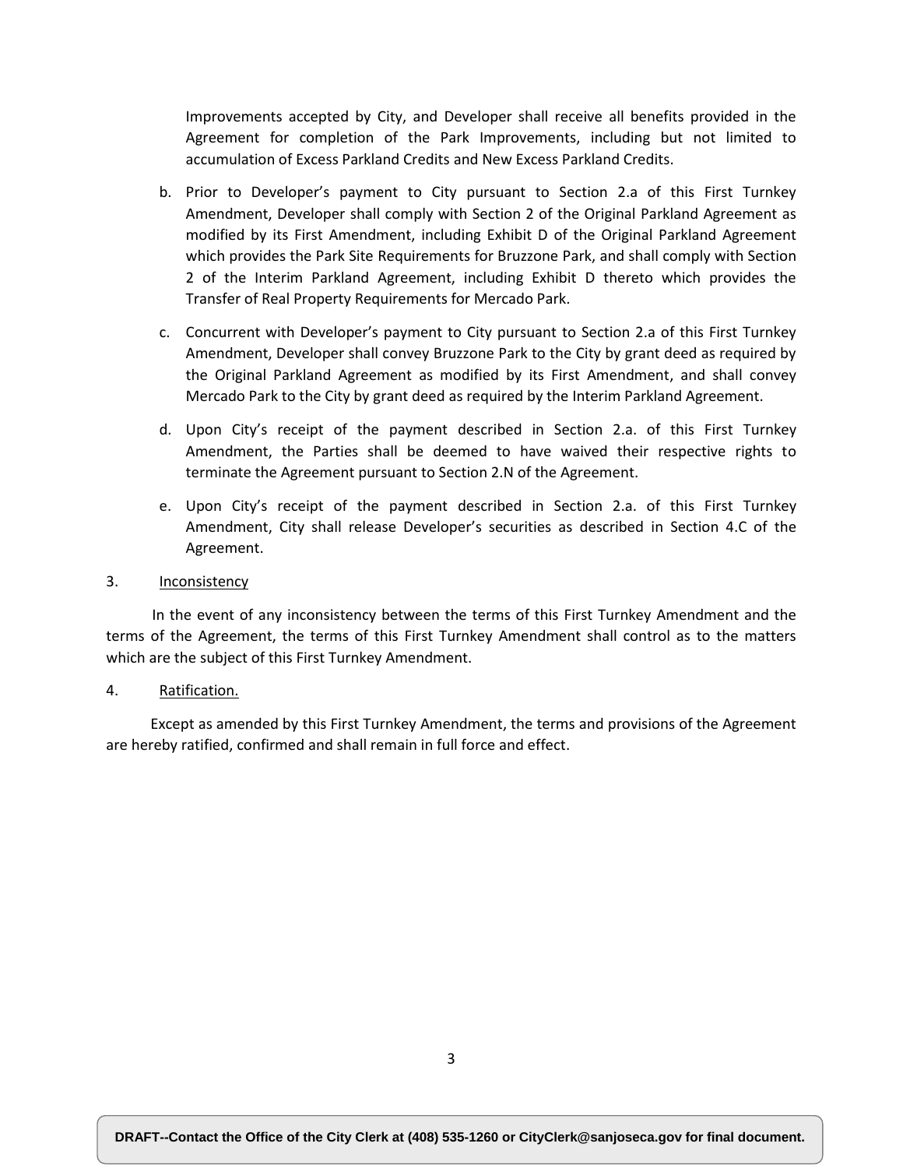Improvements accepted by City, and Developer shall receive all benefits provided in the Agreement for completion of the Park Improvements, including but not limited to accumulation of Excess Parkland Credits and New Excess Parkland Credits.

- b. Prior to Developer's payment to City pursuant to Section 2.a of this First Turnkey Amendment, Developer shall comply with Section 2 of the Original Parkland Agreement as modified by its First Amendment, including Exhibit D of the Original Parkland Agreement which provides the Park Site Requirements for Bruzzone Park, and shall comply with Section 2 of the Interim Parkland Agreement, including Exhibit D thereto which provides the Transfer of Real Property Requirements for Mercado Park.
- c. Concurrent with Developer's payment to City pursuant to Section 2.a of this First Turnkey Amendment, Developer shall convey Bruzzone Park to the City by grant deed as required by the Original Parkland Agreement as modified by its First Amendment, and shall convey Mercado Park to the City by grant deed as required by the Interim Parkland Agreement.
- d. Upon City's receipt of the payment described in Section 2.a. of this First Turnkey Amendment, the Parties shall be deemed to have waived their respective rights to terminate the Agreement pursuant to Section 2.N of the Agreement.
- e. Upon City's receipt of the payment described in Section 2.a. of this First Turnkey Amendment, City shall release Developer's securities as described in Section 4.C of the Agreement.
- 3. Inconsistency

 In the event of any inconsistency between the terms of this First Turnkey Amendment and the terms of the Agreement, the terms of this First Turnkey Amendment shall control as to the matters which are the subject of this First Turnkey Amendment.

4. Ratification.

 Except as amended by this First Turnkey Amendment, the terms and provisions of the Agreement are hereby ratified, confirmed and shall remain in full force and effect.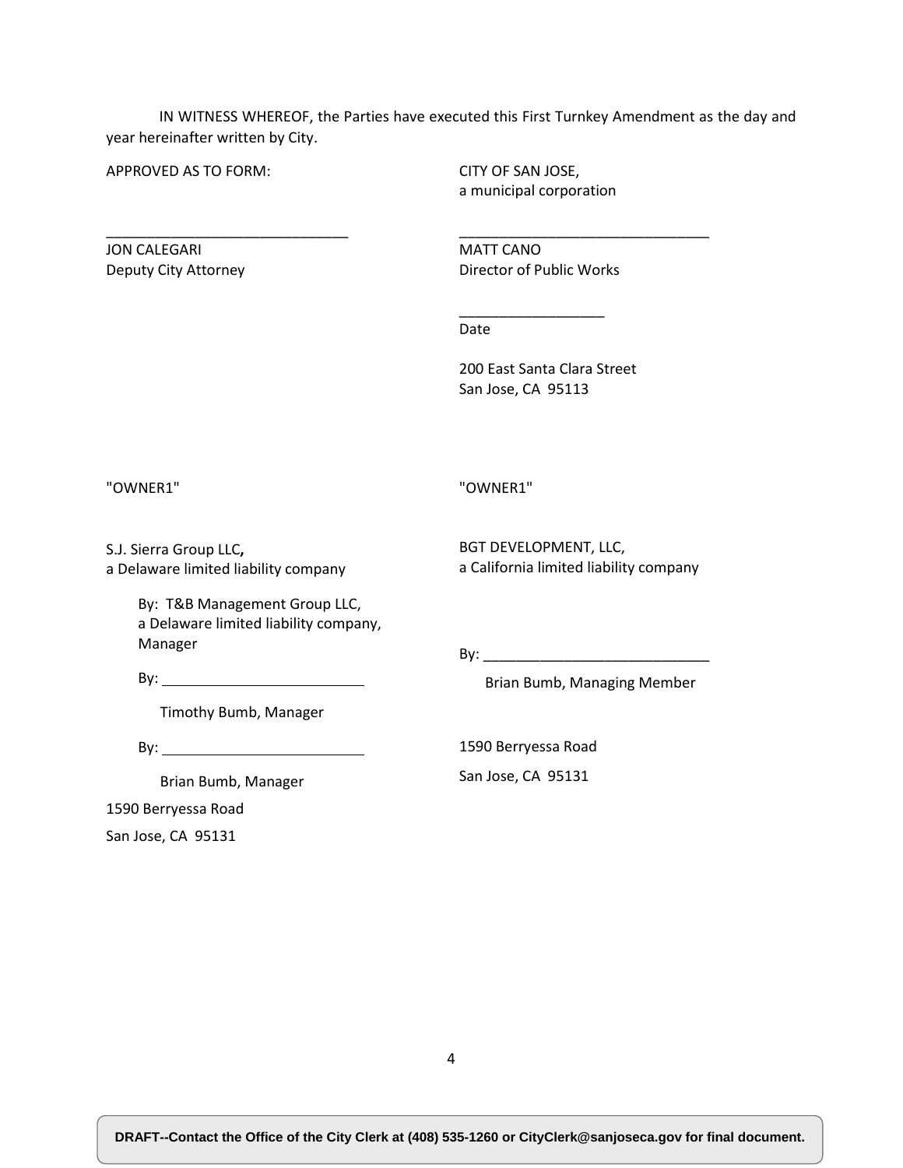IN WITNESS WHEREOF, the Parties have executed this First Turnkey Amendment as the day and year hereinafter written by City.

APPROVED AS TO FORM:

\_\_\_\_\_\_\_\_\_\_\_\_\_\_\_\_\_\_\_\_\_\_\_\_\_\_\_\_\_\_

CITY OF SAN JOSE, a municipal corporation

JON CALEGARI Deputy City Attorney MATT CANO Director of Public Works

\_\_\_\_\_\_\_\_\_\_\_\_\_\_\_\_\_\_

\_\_\_\_\_\_\_\_\_\_\_\_\_\_\_\_\_\_\_\_\_\_\_\_\_\_\_\_\_\_\_

Date

200 East Santa Clara Street San Jose, CA 95113

"OWNER1"

"OWNER1"

S.J. Sierra Group LLC**,** a Delaware limited liability company BGT DEVELOPMENT, LLC, a California limited liability company

By: T&B Management Group LLC, a Delaware limited liability company, Manager

 $By:$ 

Timothy Bumb, Manager

By: the contract of the contract of the contract of the contract of the contract of the contract of the contract of the contract of the contract of the contract of the contract of the contract of the contract of the contra

Brian Bumb, Manager

1590 Berryessa Road

San Jose, CA 95131

By: \_\_\_\_\_\_\_\_\_\_\_\_\_\_\_\_\_\_\_\_\_\_\_\_\_\_\_\_

Brian Bumb, Managing Member

1590 Berryessa Road

San Jose, CA 95131

4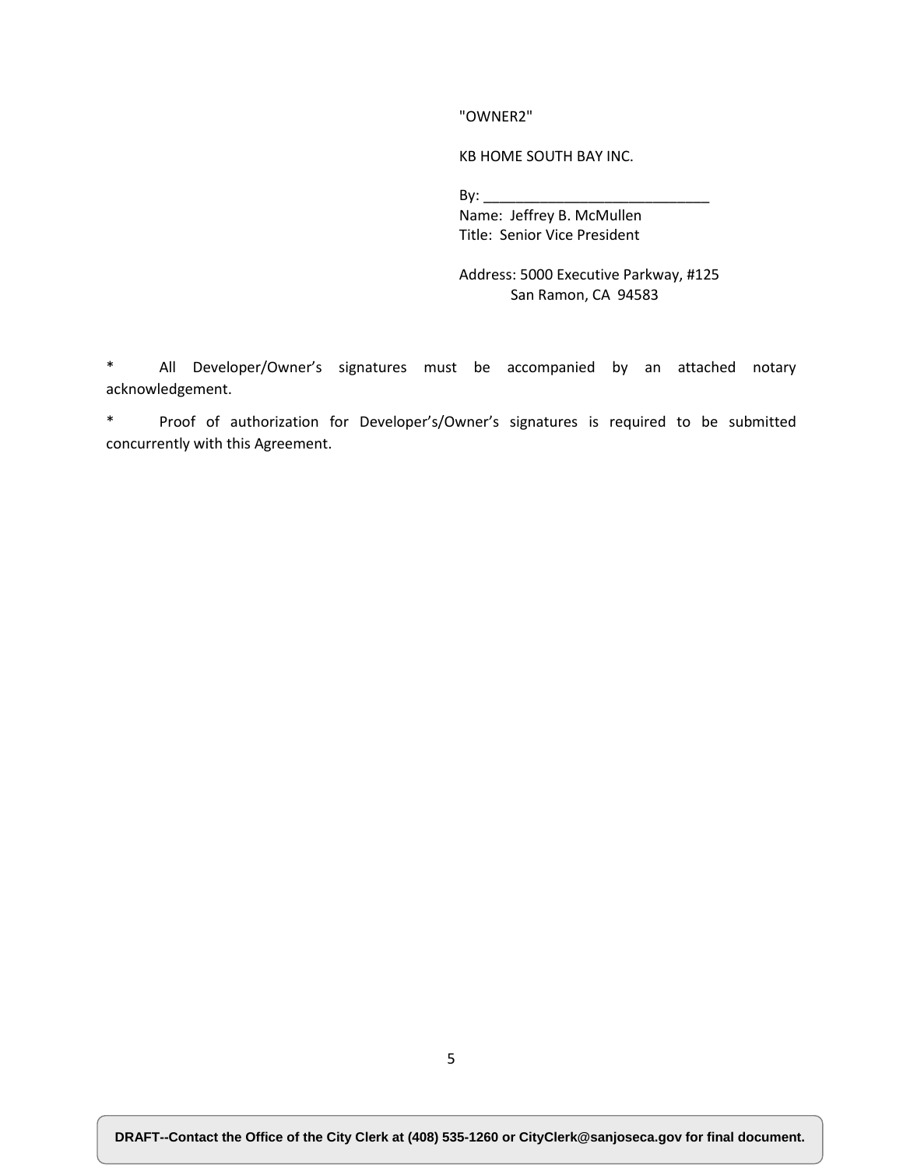"OWNER2"

KB HOME SOUTH BAY INC.

 $\mathsf{By:}$ 

Name: Jeffrey B. McMullen Title: Senior Vice President

Address: 5000 Executive Parkway, #125 San Ramon, CA 94583

\* All Developer/Owner's signatures must be accompanied by an attached notary acknowledgement.

\* Proof of authorization for Developer's/Owner's signatures is required to be submitted concurrently with this Agreement.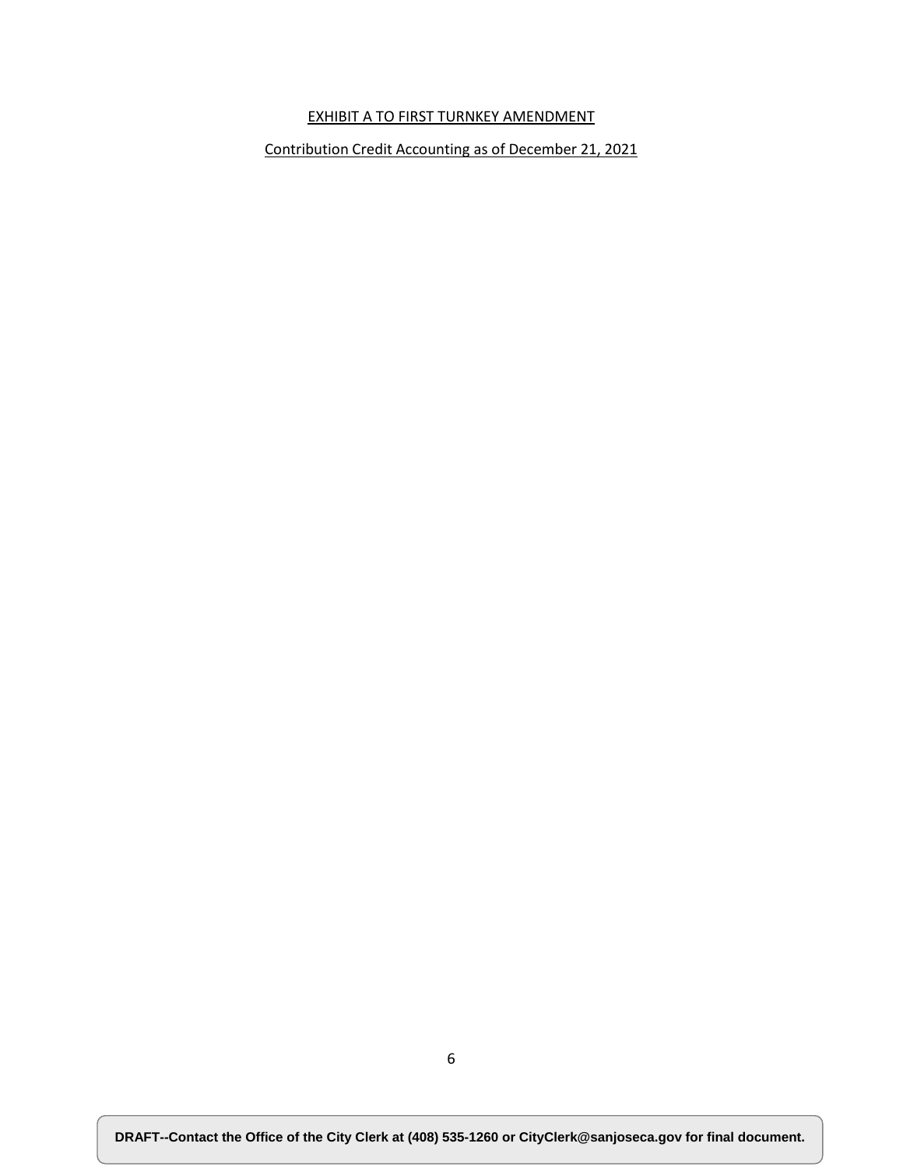# EXHIBIT A TO FIRST TURNKEY AMENDMENT

Contribution Credit Accounting as of December 21, 2021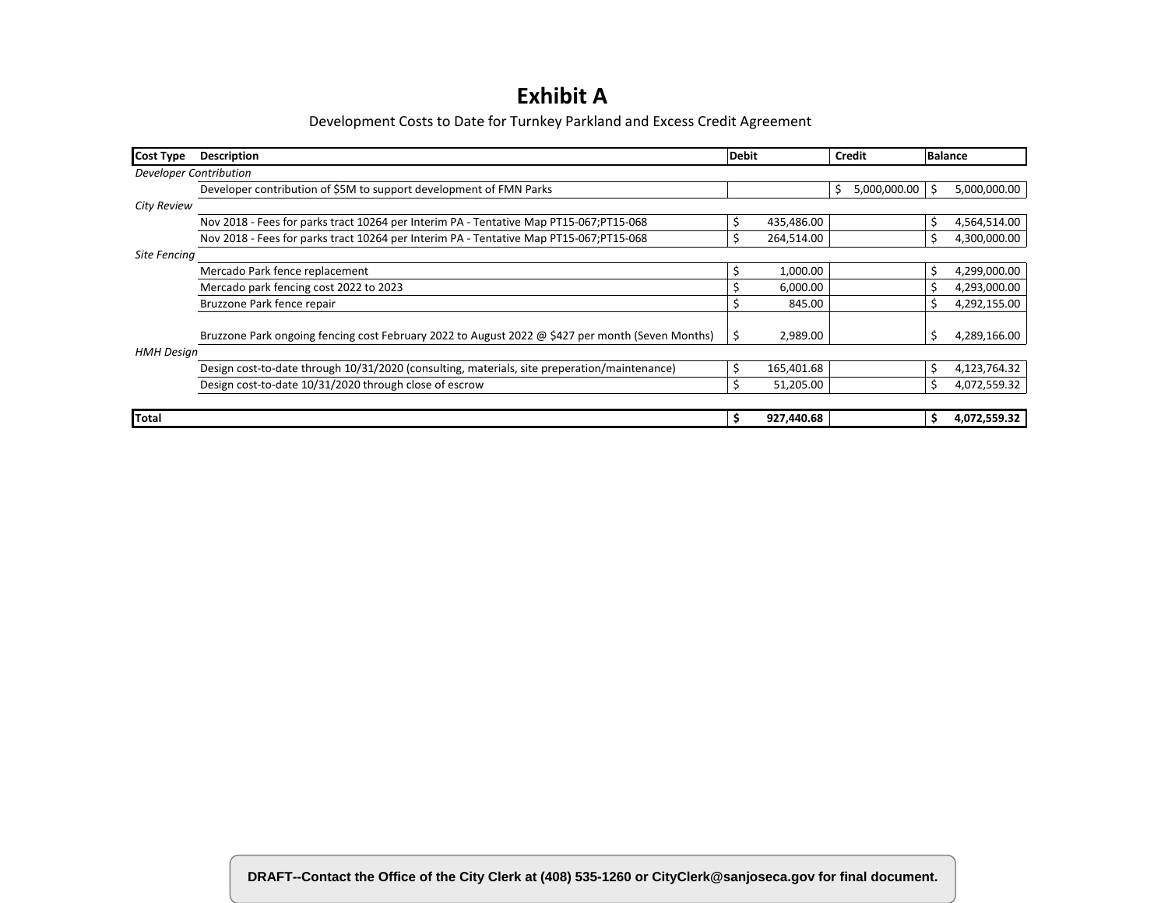# **Exhibit A**

Development Costs to Date for Turnkey Parkland and Excess Credit Agreement

| <b>Cost Type</b>       | <b>Description</b>                                                                               | <b>Debit</b> |            |    | Credit       |    | <b>Balance</b> |  |
|------------------------|--------------------------------------------------------------------------------------------------|--------------|------------|----|--------------|----|----------------|--|
| Developer Contribution |                                                                                                  |              |            |    |              |    |                |  |
|                        | Developer contribution of \$5M to support development of FMN Parks                               |              |            | \$ | 5,000,000.00 | \$ | 5,000,000.00   |  |
| <b>City Review</b>     |                                                                                                  |              |            |    |              |    |                |  |
|                        | Nov 2018 - Fees for parks tract 10264 per Interim PA - Tentative Map PT15-067; PT15-068          | Ŝ.           | 435,486.00 |    |              | \$ | 4,564,514.00   |  |
|                        | Nov 2018 - Fees for parks tract 10264 per Interim PA - Tentative Map PT15-067; PT15-068          |              | 264,514.00 |    |              | \$ | 4,300,000.00   |  |
| Site Fencing           |                                                                                                  |              |            |    |              |    |                |  |
|                        | Mercado Park fence replacement                                                                   |              | 1,000.00   |    |              | \$ | 4,299,000.00   |  |
|                        | Mercado park fencing cost 2022 to 2023                                                           |              | 6,000.00   |    |              |    | 4,293,000.00   |  |
|                        | Bruzzone Park fence repair                                                                       |              | 845.00     |    |              | S  | 4,292,155.00   |  |
|                        |                                                                                                  |              |            |    |              |    |                |  |
|                        | Bruzzone Park ongoing fencing cost February 2022 to August 2022 @ \$427 per month (Seven Months) |              | 2,989.00   |    |              | \$ | 4,289,166.00   |  |
| <b>HMH Design</b>      |                                                                                                  |              |            |    |              |    |                |  |
|                        | Design cost-to-date through 10/31/2020 (consulting, materials, site preperation/maintenance)     | Ś            | 165,401.68 |    |              | \$ | 4,123,764.32   |  |
|                        | Design cost-to-date 10/31/2020 through close of escrow                                           | Ś.           | 51,205.00  |    |              | \$ | 4,072,559.32   |  |
|                        |                                                                                                  |              |            |    |              |    |                |  |
| <b>Total</b>           |                                                                                                  | s            | 927,440.68 |    |              | Ŝ. | 4,072,559.32   |  |

DRAFT--Contact the Office of the City Clerk at (408) 535-1260 or CityClerk@sanjoseca.gov for final document.